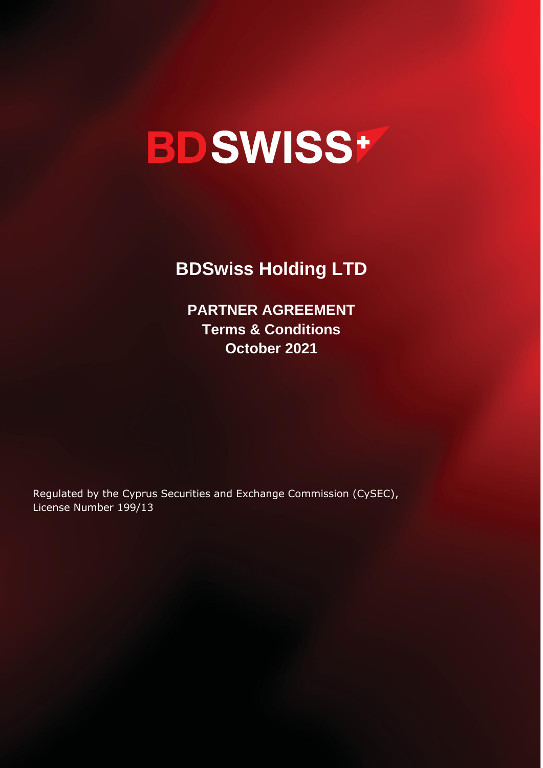# **BDSWISS+**

**BDSwiss Holding LTD**

**PARTNER AGREEMENT Terms & Conditions October 2021**

Regulated by the Cyprus Securities and Exchange Commission (CySEC), License Number 199/13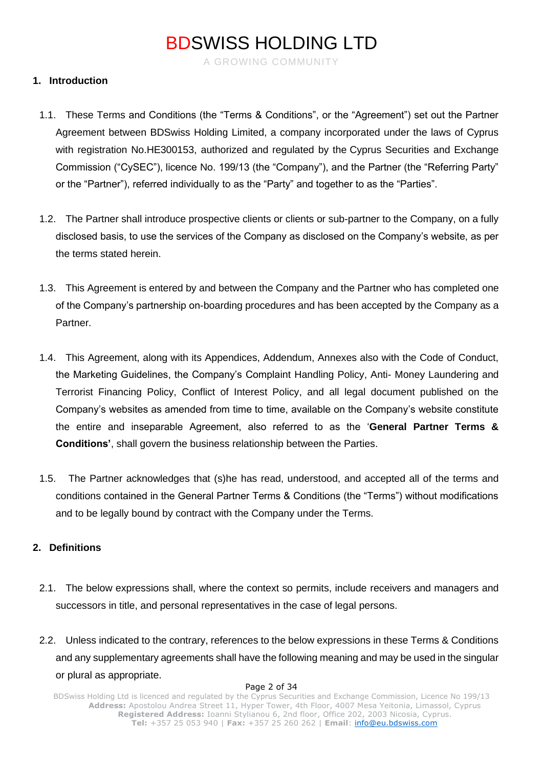A GROWING COMMUNITY

### **1. Introduction**

- 1.1. These Terms and Conditions (the "Terms & Conditions", or the "Agreement") set out the Partner Agreement between BDSwiss Holding Limited, a company incorporated under the laws of Cyprus with registration No.HE300153, authorized and regulated by the Cyprus Securities and Exchange Commission ("CySEC"), licence No. 199/13 (the "Company"), and the Partner (the "Referring Party" or the "Partner"), referred individually to as the "Party" and together to as the "Parties".
- 1.2. The Partner shall introduce prospective clients or clients or sub-partner to the Company, on a fully disclosed basis, to use the services of the Company as disclosed on the Company's website, as per the terms stated herein.
- 1.3. This Agreement is entered by and between the Company and the Partner who has completed one of the Company's partnership on-boarding procedures and has been accepted by the Company as a Partner.
- 1.4. This Agreement, along with its Appendices, Addendum, Annexes also with the Code of Conduct, the Marketing Guidelines, the Company's Complaint Handling Policy, Anti- Money Laundering and Terrorist Financing Policy, Conflict of Interest Policy, and all legal document published on the Company's websites as amended from time to time, available on the Company's website constitute the entire and inseparable Agreement, also referred to as the '**General Partner Terms & Conditions'**, shall govern the business relationship between the Parties.
- 1.5. The Partner acknowledges that (s)he has read, understood, and accepted all of the terms and conditions contained in the General Partner Terms & Conditions (the "Terms") without modifications and to be legally bound by contract with the Company under the Terms.

### **2. Definitions**

- 2.1. The below expressions shall, where the context so permits, include receivers and managers and successors in title, and personal representatives in the case of legal persons.
- 2.2. Unless indicated to the contrary, references to the below expressions in these Terms & Conditions and any supplementary agreements shall have the following meaning and may be used in the singular or plural as appropriate.

#### Page 2 of 34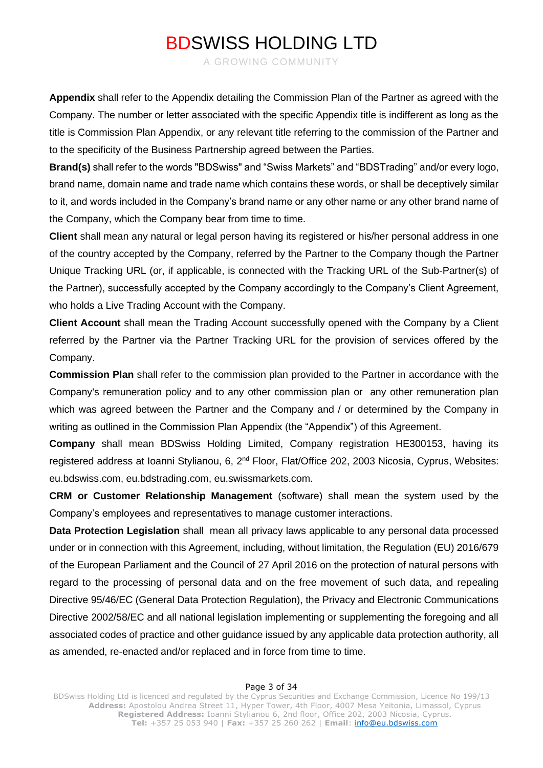A GROWING COMMUNITY

**Appendix** shall refer to the Appendix detailing the Commission Plan of the Partner as agreed with the Company. The number or letter associated with the specific Appendix title is indifferent as long as the title is Commission Plan Appendix, or any relevant title referring to the commission of the Partner and to the specificity of the Business Partnership agreed between the Parties.

**Brand(s)** shall refer to the words "BDSwiss" and "Swiss Markets" and "BDSTrading" and/or every logo, brand name, domain name and trade name which contains these words, or shall be deceptively similar to it, and words included in the Company's brand name or any other name or any other brand name of the Company, which the Company bear from time to time.

**Client** shall mean any natural or legal person having its registered or his/her personal address in one of the country accepted by the Company, referred by the Partner to the Company though the Partner Unique Tracking URL (or, if applicable, is connected with the Tracking URL of the Sub-Partner(s) of the Partner), successfully accepted by the Company accordingly to the Company's Client Agreement, who holds a Live Trading Account with the Company.

**Client Account** shall mean the Trading Account successfully opened with the Company by a Client referred by the Partner via the Partner Tracking URL for the provision of services offered by the Company.

**Commission Plan** shall refer to the commission plan provided to the Partner in accordance with the Company's remuneration policy and to any other commission plan or any other remuneration plan which was agreed between the Partner and the Company and / or determined by the Company in writing as outlined in the Commission Plan Appendix (the "Appendix") of this Agreement.

**Company** shall mean BDSwiss Holding Limited, Company registration HE300153, having its registered address at Ioanni Stylianou, 6, 2<sup>nd</sup> Floor, Flat/Office 202, 2003 Nicosia, Cyprus, Websites: eu.bdswiss.com, eu.bdstrading.com, eu.swissmarkets.com.

**CRM or Customer Relationship Management** (software) shall mean the system used by the Company's employees and representatives to manage customer interactions.

**Data Protection Legislation** shall mean all privacy laws applicable to any personal data processed under or in connection with this Agreement, including, without limitation, the Regulation (EU) 2016/679 of the European Parliament and the Council of 27 April 2016 on the protection of natural persons with regard to the processing of personal data and on the free movement of such data, and repealing Directive 95/46/EC (General Data Protection Regulation), the Privacy and Electronic Communications Directive 2002/58/EC and all national legislation implementing or supplementing the foregoing and all associated codes of practice and other guidance issued by any applicable data protection authority, all as amended, re-enacted and/or replaced and in force from time to time.

#### Page 3 of 34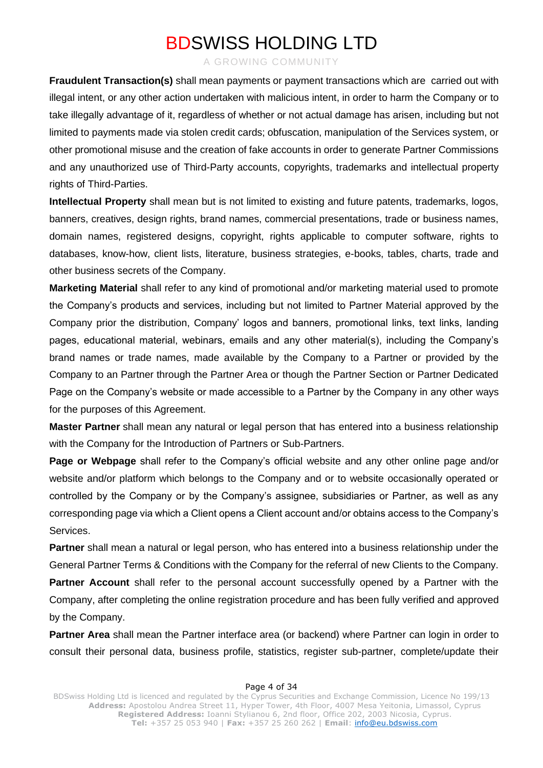A GROWING COMMUNITY

**Fraudulent Transaction(s)** shall mean payments or payment transactions which are carried out with illegal intent, or any other action undertaken with malicious intent, in order to harm the Company or to take illegally advantage of it, regardless of whether or not actual damage has arisen, including but not limited to payments made via stolen credit cards; obfuscation, manipulation of the Services system, or other promotional misuse and the creation of fake accounts in order to generate Partner Commissions and any unauthorized use of Third-Party accounts, copyrights, trademarks and intellectual property rights of Third-Parties.

**Intellectual Property** shall mean but is not limited to existing and future patents, trademarks, logos, banners, creatives, design rights, brand names, commercial presentations, trade or business names, domain names, registered designs, copyright, rights applicable to computer software, rights to databases, know-how, client lists, literature, business strategies, e-books, tables, charts, trade and other business secrets of the Company.

**Marketing Material** shall refer to any kind of promotional and/or marketing material used to promote the Company's products and services, including but not limited to Partner Material approved by the Company prior the distribution, Company' logos and banners, promotional links, text links, landing pages, educational material, webinars, emails and any other material(s), including the Company's brand names or trade names, made available by the Company to a Partner or provided by the Company to an Partner through the Partner Area or though the Partner Section or Partner Dedicated Page on the Company's website or made accessible to a Partner by the Company in any other ways for the purposes of this Agreement.

**Master Partner** shall mean any natural or legal person that has entered into a business relationship with the Company for the Introduction of Partners or Sub-Partners.

**Page or Webpage** shall refer to the Company's official website and any other online page and/or website and/or platform which belongs to the Company and or to website occasionally operated or controlled by the Company or by the Company's assignee, subsidiaries or Partner, as well as any corresponding page via which a Client opens a Client account and/or obtains access to the Company's Services.

**Partner** shall mean a natural or legal person, who has entered into a business relationship under the General Partner Terms & Conditions with the Company for the referral of new Clients to the Company.

**Partner Account** shall refer to the personal account successfully opened by a Partner with the Company, after completing the online registration procedure and has been fully verified and approved by the Company.

**Partner Area** shall mean the Partner interface area (or backend) where Partner can login in order to consult their personal data, business profile, statistics, register sub-partner, complete/update their

#### Page 4 of 34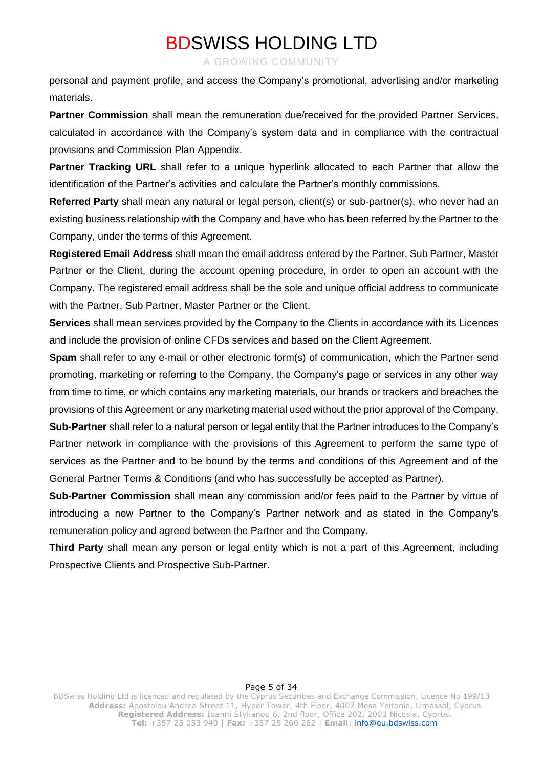A GROWING COMMUNITY

personal and payment profile, and access the Company's promotional, advertising and/or marketing materials.

**Partner Commission** shall mean the remuneration due/received for the provided Partner Services, calculated in accordance with the Company's system data and in compliance with the contractual provisions and Commission Plan Appendix.

**Partner Tracking URL** shall refer to a unique hyperlink allocated to each Partner that allow the identification of the Partner's activities and calculate the Partner's monthly commissions.

**Referred Party** shall mean any natural or legal person, client(s) or sub-partner(s), who never had an existing business relationship with the Company and have who has been referred by the Partner to the Company, under the terms of this Agreement.

**Registered Email Address** shall mean the email address entered by the Partner, Sub Partner, Master Partner or the Client, during the account opening procedure, in order to open an account with the Company. The registered email address shall be the sole and unique official address to communicate with the Partner, Sub Partner, Master Partner or the Client.

**Services** shall mean services provided by the Company to the Clients in accordance with its Licences and include the provision of online CFDs services and based on the Client Agreement.

**Spam** shall refer to any e-mail or other electronic form(s) of communication, which the Partner send promoting, marketing or referring to the Company, the Company's page or services in any other way from time to time, or which contains any marketing materials, our brands or trackers and breaches the provisions of this Agreement or any marketing material used without the prior approval of the Company.

**Sub-Partner** shall refer to a natural person or legal entity that the Partner introduces to the Company's Partner network in compliance with the provisions of this Agreement to perform the same type of services as the Partner and to be bound by the terms and conditions of this Agreement and of the General Partner Terms & Conditions (and who has successfully be accepted as Partner).

**Sub-Partner Commission** shall mean any commission and/or fees paid to the Partner by virtue of introducing a new Partner to the Company's Partner network and as stated in the Company's remuneration policy and agreed between the Partner and the Company.

**Third Party** shall mean any person or legal entity which is not a part of this Agreement, including Prospective Clients and Prospective Sub-Partner.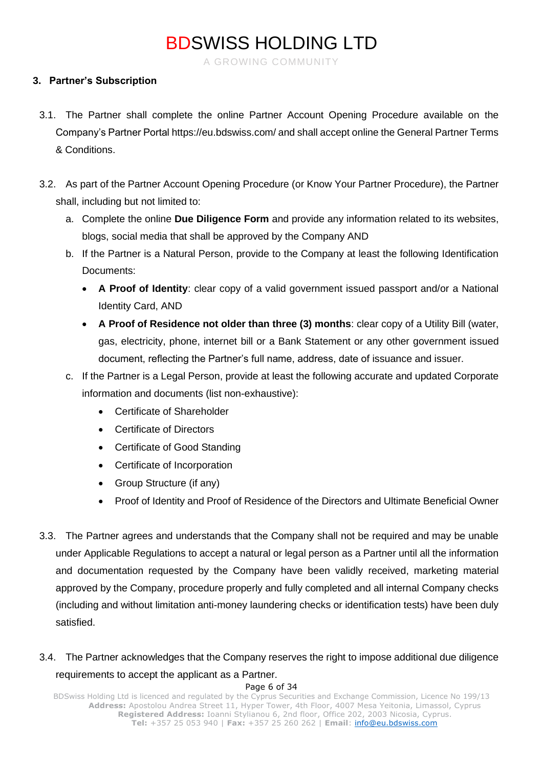A GROWING COMMUNITY

### **3. Partner's Subscription**

- 3.1. The Partner shall complete the online Partner Account Opening Procedure available on the Company's Partner Portal<https://eu.bdswiss.com/> and shall accept online the General Partner Terms & Conditions.
- 3.2. As part of the Partner Account Opening Procedure (or Know Your Partner Procedure), the Partner shall, including but not limited to:
	- a. Complete the online **Due Diligence Form** and provide any information related to its websites, blogs, social media that shall be approved by the Company AND
	- b. If the Partner is a Natural Person, provide to the Company at least the following Identification Documents:
		- **A Proof of Identity**: clear copy of a valid government issued passport and/or a National Identity Card, AND
		- **A Proof of Residence not older than three (3) months**: clear copy of a Utility Bill (water, gas, electricity, phone, internet bill or a Bank Statement or any other government issued document, reflecting the Partner's full name, address, date of issuance and issuer.
	- c. If the Partner is a Legal Person, provide at least the following accurate and updated Corporate information and documents (list non-exhaustive):
		- Certificate of Shareholder
		- Certificate of Directors
		- Certificate of Good Standing
		- Certificate of Incorporation
		- Group Structure (if any)
		- Proof of Identity and Proof of Residence of the Directors and Ultimate Beneficial Owner
- 3.3. The Partner agrees and understands that the Company shall not be required and may be unable under Applicable Regulations to accept a natural or legal person as a Partner until all the information and documentation requested by the Company have been validly received, marketing material approved by the Company, procedure properly and fully completed and all internal Company checks (including and without limitation anti-money laundering checks or identification tests) have been duly satisfied.
- 3.4. The Partner acknowledges that the Company reserves the right to impose additional due diligence requirements to accept the applicant as a Partner.

#### Page 6 of 34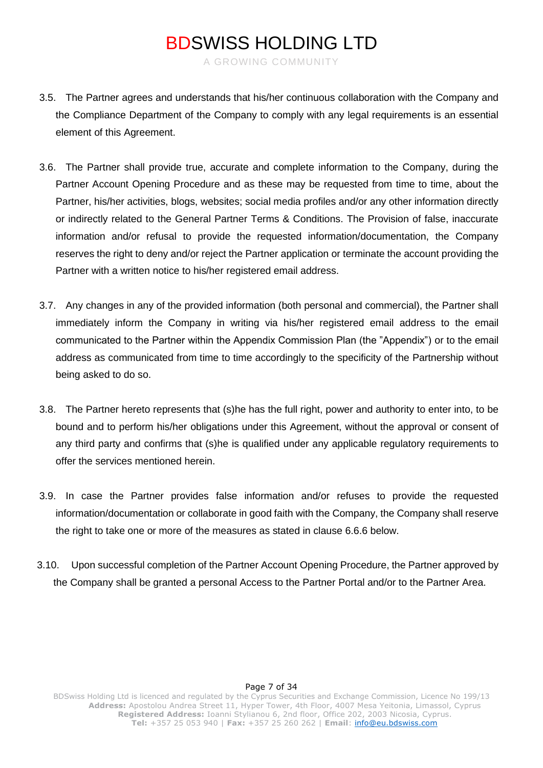A GROWING COMMUNITY

- 3.5. The Partner agrees and understands that his/her continuous collaboration with the Company and the Compliance Department of the Company to comply with any legal requirements is an essential element of this Agreement.
- 3.6. The Partner shall provide true, accurate and complete information to the Company, during the Partner Account Opening Procedure and as these may be requested from time to time, about the Partner, his/her activities, blogs, websites; social media profiles and/or any other information directly or indirectly related to the General Partner Terms & Conditions. The Provision of false, inaccurate information and/or refusal to provide the requested information/documentation, the Company reserves the right to deny and/or reject the Partner application or terminate the account providing the Partner with a written notice to his/her registered email address.
- 3.7. Any changes in any of the provided information (both personal and commercial), the Partner shall immediately inform the Company in writing via his/her registered email address to the email communicated to the Partner within the Appendix Commission Plan (the "Appendix") or to the email address as communicated from time to time accordingly to the specificity of the Partnership without being asked to do so.
- 3.8. The Partner hereto represents that (s)he has the full right, power and authority to enter into, to be bound and to perform his/her obligations under this Agreement, without the approval or consent of any third party and confirms that (s)he is qualified under any applicable regulatory requirements to offer the services mentioned herein.
- 3.9. In case the Partner provides false information and/or refuses to provide the requested information/documentation or collaborate in good faith with the Company, the Company shall reserve the right to take one or more of the measures as stated in clause 6.6.6 below.
- 3.10. Upon successful completion of the Partner Account Opening Procedure, the Partner approved by the Company shall be granted a personal Access to the Partner Portal and/or to the Partner Area.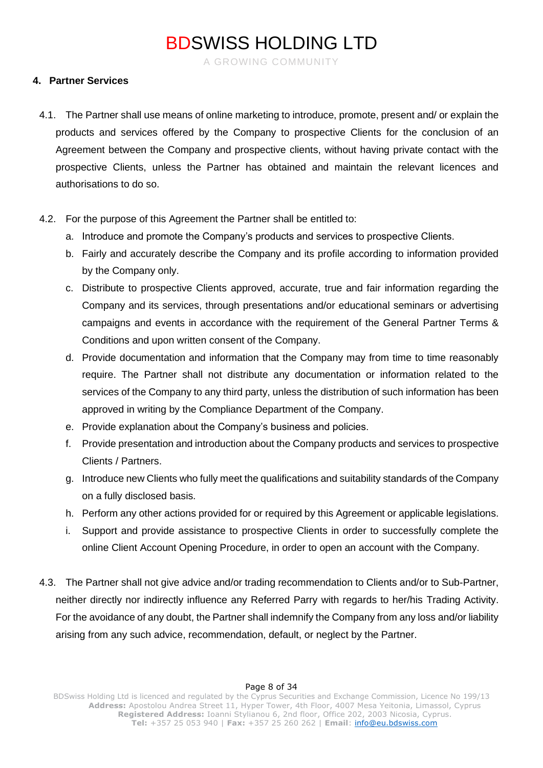A GROWING COMMUNITY

### **4. Partner Services**

- 4.1. The Partner shall use means of online marketing to introduce, promote, present and/ or explain the products and services offered by the Company to prospective Clients for the conclusion of an Agreement between the Company and prospective clients, without having private contact with the prospective Clients, unless the Partner has obtained and maintain the relevant licences and authorisations to do so.
- 4.2. For the purpose of this Agreement the Partner shall be entitled to:
	- a. Introduce and promote the Company's products and services to prospective Clients.
	- b. Fairly and accurately describe the Company and its profile according to information provided by the Company only.
	- c. Distribute to prospective Clients approved, accurate, true and fair information regarding the Company and its services, through presentations and/or educational seminars or advertising campaigns and events in accordance with the requirement of the General Partner Terms & Conditions and upon written consent of the Company.
	- d. Provide documentation and information that the Company may from time to time reasonably require. The Partner shall not distribute any documentation or information related to the services of the Company to any third party, unless the distribution of such information has been approved in writing by the Compliance Department of the Company.
	- e. Provide explanation about the Company's business and policies.
	- f. Provide presentation and introduction about the Company products and services to prospective Clients / Partners.
	- g. Introduce new Clients who fully meet the qualifications and suitability standards of the Company on a fully disclosed basis.
	- h. Perform any other actions provided for or required by this Agreement or applicable legislations.
	- i. Support and provide assistance to prospective Clients in order to successfully complete the online Client Account Opening Procedure, in order to open an account with the Company.
- 4.3. The Partner shall not give advice and/or trading recommendation to Clients and/or to Sub-Partner, neither directly nor indirectly influence any Referred Parry with regards to her/his Trading Activity. For the avoidance of any doubt, the Partner shall indemnify the Company from any loss and/or liability arising from any such advice, recommendation, default, or neglect by the Partner.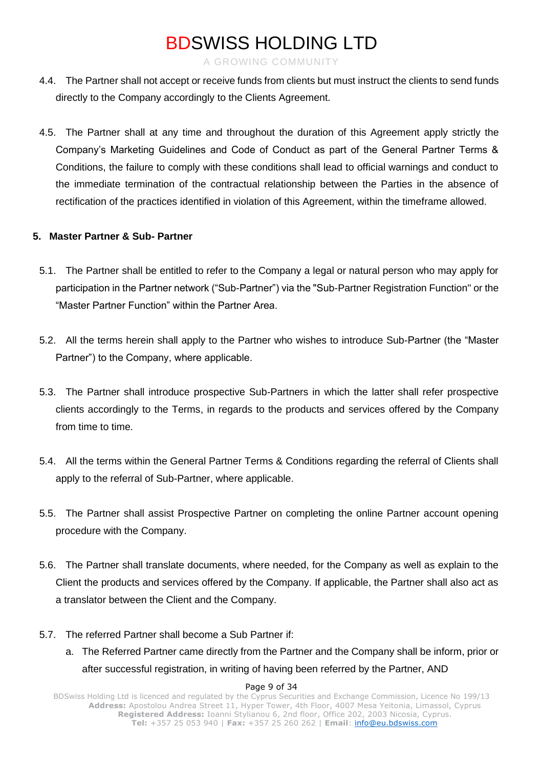A GROWING COMMUNITY

- 4.4. The Partner shall not accept or receive funds from clients but must instruct the clients to send funds directly to the Company accordingly to the Clients Agreement.
- 4.5. The Partner shall at any time and throughout the duration of this Agreement apply strictly the Company's Marketing Guidelines and Code of Conduct as part of the General Partner Terms & Conditions, the failure to comply with these conditions shall lead to official warnings and conduct to the immediate termination of the contractual relationship between the Parties in the absence of rectification of the practices identified in violation of this Agreement, within the timeframe allowed.

### **5. Master Partner & Sub- Partner**

- 5.1. The Partner shall be entitled to refer to the Company a legal or natural person who may apply for participation in the Partner network ("Sub-Partner") via the "Sub-Partner Registration Function" or the "Master Partner Function" within the Partner Area.
- 5.2. All the terms herein shall apply to the Partner who wishes to introduce Sub-Partner (the "Master Partner") to the Company, where applicable.
- 5.3. The Partner shall introduce prospective Sub-Partners in which the latter shall refer prospective clients accordingly to the Terms, in regards to the products and services offered by the Company from time to time.
- 5.4. All the terms within the General Partner Terms & Conditions regarding the referral of Clients shall apply to the referral of Sub-Partner, where applicable.
- 5.5. The Partner shall assist Prospective Partner on completing the online Partner account opening procedure with the Company.
- 5.6. The Partner shall translate documents, where needed, for the Company as well as explain to the Client the products and services offered by the Company. If applicable, the Partner shall also act as a translator between the Client and the Company.
- 5.7. The referred Partner shall become a Sub Partner if:
	- a. The Referred Partner came directly from the Partner and the Company shall be inform, prior or after successful registration, in writing of having been referred by the Partner, AND

#### Page 9 of 34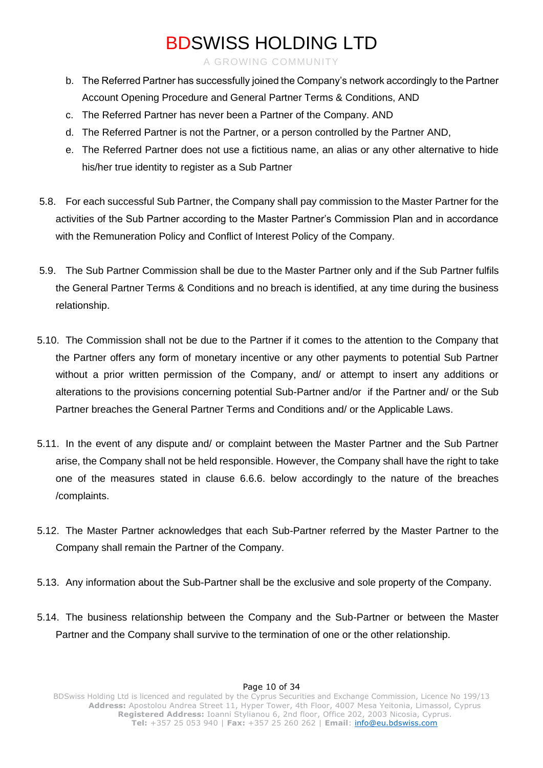A GROWING COMMUNITY

- b. The Referred Partner has successfully joined the Company's network accordingly to the Partner Account Opening Procedure and General Partner Terms & Conditions, AND
- c. The Referred Partner has never been a Partner of the Company. AND
- d. The Referred Partner is not the Partner, or a person controlled by the Partner AND,
- e. The Referred Partner does not use a fictitious name, an alias or any other alternative to hide his/her true identity to register as a Sub Partner
- 5.8. For each successful Sub Partner, the Company shall pay commission to the Master Partner for the activities of the Sub Partner according to the Master Partner's Commission Plan and in accordance with the Remuneration Policy and Conflict of Interest Policy of the Company.
- 5.9. The Sub Partner Commission shall be due to the Master Partner only and if the Sub Partner fulfils the General Partner Terms & Conditions and no breach is identified, at any time during the business relationship.
- 5.10. The Commission shall not be due to the Partner if it comes to the attention to the Company that the Partner offers any form of monetary incentive or any other payments to potential Sub Partner without a prior written permission of the Company, and/ or attempt to insert any additions or alterations to the provisions concerning potential Sub-Partner and/or if the Partner and/ or the Sub Partner breaches the General Partner Terms and Conditions and/ or the Applicable Laws.
- 5.11. In the event of any dispute and/ or complaint between the Master Partner and the Sub Partner arise, the Company shall not be held responsible. However, the Company shall have the right to take one of the measures stated in clause 6.6.6. below accordingly to the nature of the breaches /complaints.
- 5.12. The Master Partner acknowledges that each Sub-Partner referred by the Master Partner to the Company shall remain the Partner of the Company.
- 5.13. Any information about the Sub-Partner shall be the exclusive and sole property of the Company.
- 5.14. The business relationship between the Company and the Sub-Partner or between the Master Partner and the Company shall survive to the termination of one or the other relationship.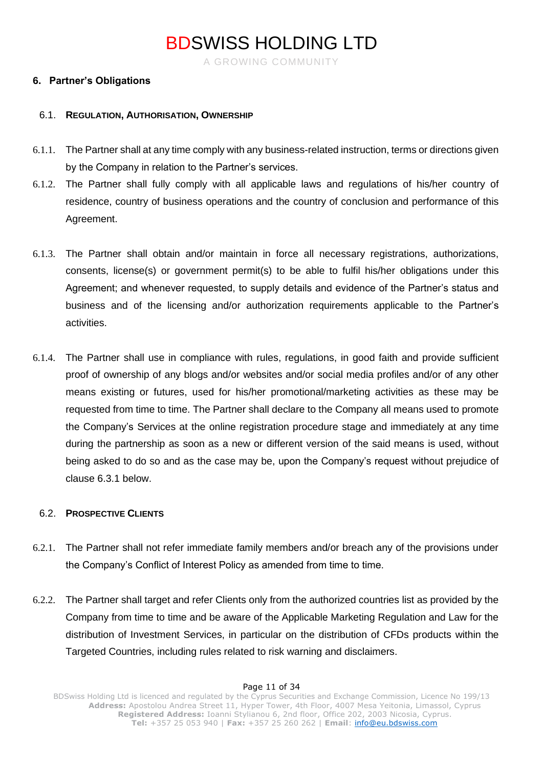A GROWING COMMUNITY

#### **6. Partner's Obligations**

#### 6.1. **REGULATION, AUTHORISATION, OWNERSHIP**

- 6.1.1. The Partner shall at any time comply with any business-related instruction, terms or directions given by the Company in relation to the Partner's services.
- 6.1.2. The Partner shall fully comply with all applicable laws and regulations of his/her country of residence, country of business operations and the country of conclusion and performance of this Agreement.
- 6.1.3. The Partner shall obtain and/or maintain in force all necessary registrations, authorizations, consents, license(s) or government permit(s) to be able to fulfil his/her obligations under this Agreement; and whenever requested, to supply details and evidence of the Partner's status and business and of the licensing and/or authorization requirements applicable to the Partner's activities.
- 6.1.4. The Partner shall use in compliance with rules, regulations, in good faith and provide sufficient proof of ownership of any blogs and/or websites and/or social media profiles and/or of any other means existing or futures, used for his/her promotional/marketing activities as these may be requested from time to time. The Partner shall declare to the Company all means used to promote the Company's Services at the online registration procedure stage and immediately at any time during the partnership as soon as a new or different version of the said means is used, without being asked to do so and as the case may be, upon the Company's request without prejudice of clause 6.3.1 below.

### 6.2. **PROSPECTIVE CLIENTS**

- 6.2.1. The Partner shall not refer immediate family members and/or breach any of the provisions under the Company's Conflict of Interest Policy as amended from time to time.
- 6.2.2. The Partner shall target and refer Clients only from the authorized countries list as provided by the Company from time to time and be aware of the Applicable Marketing Regulation and Law for the distribution of Investment Services, in particular on the distribution of CFDs products within the Targeted Countries, including rules related to risk warning and disclaimers.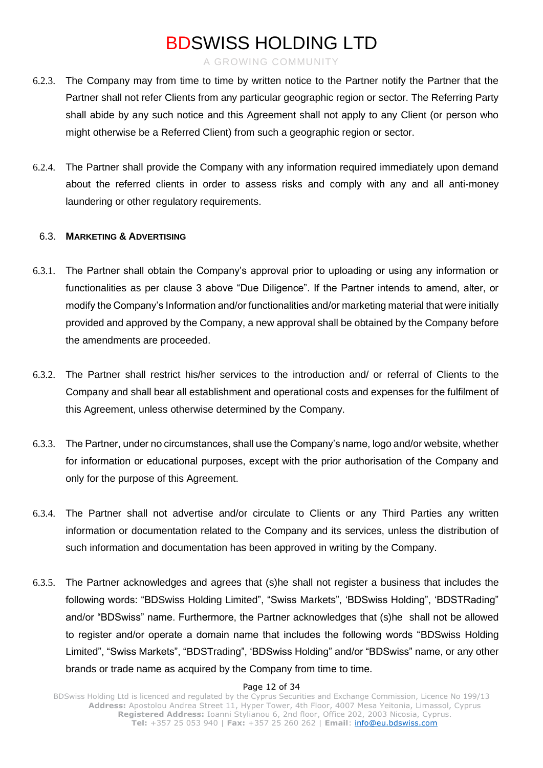A GROWING COMMUNITY

- 6.2.3. The Company may from time to time by written notice to the Partner notify the Partner that the Partner shall not refer Clients from any particular geographic region or sector. The Referring Party shall abide by any such notice and this Agreement shall not apply to any Client (or person who might otherwise be a Referred Client) from such a geographic region or sector.
- 6.2.4. The Partner shall provide the Company with any information required immediately upon demand about the referred clients in order to assess risks and comply with any and all anti-money laundering or other regulatory requirements.

### 6.3. **MARKETING & ADVERTISING**

- 6.3.1. The Partner shall obtain the Company's approval prior to uploading or using any information or functionalities as per clause 3 above "Due Diligence". If the Partner intends to amend, alter, or modify the Company's Information and/or functionalities and/or marketing material that were initially provided and approved by the Company, a new approval shall be obtained by the Company before the amendments are proceeded.
- 6.3.2. The Partner shall restrict his/her services to the introduction and/ or referral of Clients to the Company and shall bear all establishment and operational costs and expenses for the fulfilment of this Agreement, unless otherwise determined by the Company.
- 6.3.3. The Partner, under no circumstances, shall use the Company's name, logo and/or website, whether for information or educational purposes, except with the prior authorisation of the Company and only for the purpose of this Agreement.
- 6.3.4. The Partner shall not advertise and/or circulate to Clients or any Third Parties any written information or documentation related to the Company and its services, unless the distribution of such information and documentation has been approved in writing by the Company.
- 6.3.5. The Partner acknowledges and agrees that (s)he shall not register a business that includes the following words: "BDSwiss Holding Limited", "Swiss Markets", 'BDSwiss Holding", 'BDSTRading" and/or "BDSwiss" name. Furthermore, the Partner acknowledges that (s)he shall not be allowed to register and/or operate a domain name that includes the following words "BDSwiss Holding Limited", "Swiss Markets", "BDSTrading", 'BDSwiss Holding" and/or "BDSwiss" name, or any other brands or trade name as acquired by the Company from time to time.

#### Page 12 of 34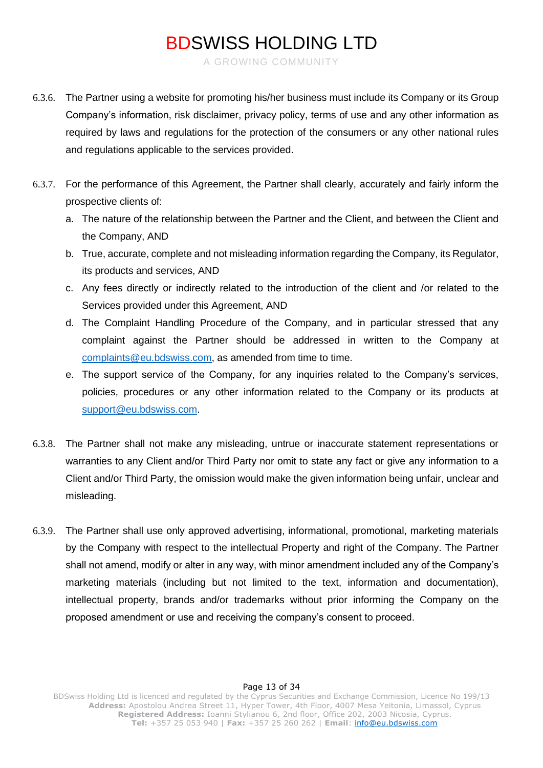A GROWING COMMUNITY

- 6.3.6. The Partner using a website for promoting his/her business must include its Company or its Group Company's information, risk disclaimer, privacy policy, terms of use and any other information as required by laws and regulations for the protection of the consumers or any other national rules and regulations applicable to the services provided.
- 6.3.7. For the performance of this Agreement, the Partner shall clearly, accurately and fairly inform the prospective clients of:
	- a. The nature of the relationship between the Partner and the Client, and between the Client and the Company, AND
	- b. True, accurate, complete and not misleading information regarding the Company, its Regulator, its products and services, AND
	- c. Any fees directly or indirectly related to the introduction of the client and /or related to the Services provided under this Agreement, AND
	- d. The Complaint Handling Procedure of the Company, and in particular stressed that any complaint against the Partner should be addressed in written to the Company at [complaints@eu.bdswiss.com,](mailto:complaints@eu.bdswiss.com) as amended from time to time.
	- e. The support service of the Company, for any inquiries related to the Company's services, policies, procedures or any other information related to the Company or its products at [support@eu.bdswiss.com.](mailto:support@eu.bdswiss.com)
- 6.3.8. The Partner shall not make any misleading, untrue or inaccurate statement representations or warranties to any Client and/or Third Party nor omit to state any fact or give any information to a Client and/or Third Party, the omission would make the given information being unfair, unclear and misleading.
- 6.3.9. The Partner shall use only approved advertising, informational, promotional, marketing materials by the Company with respect to the intellectual Property and right of the Company. The Partner shall not amend, modify or alter in any way, with minor amendment included any of the Company's marketing materials (including but not limited to the text, information and documentation), intellectual property, brands and/or trademarks without prior informing the Company on the proposed amendment or use and receiving the company's consent to proceed.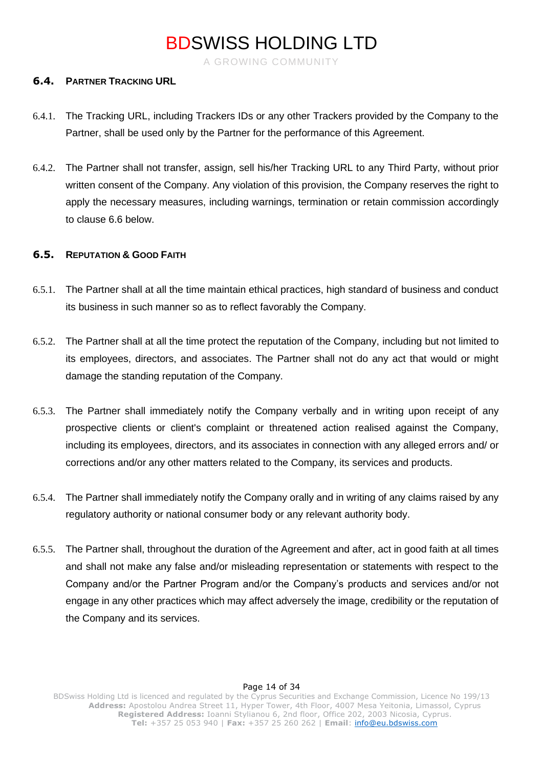A GROWING COMMUNITY

#### **6.4. PARTNER TRACKING URL**

- 6.4.1. The Tracking URL, including Trackers IDs or any other Trackers provided by the Company to the Partner, shall be used only by the Partner for the performance of this Agreement.
- 6.4.2. The Partner shall not transfer, assign, sell his/her Tracking URL to any Third Party, without prior written consent of the Company. Any violation of this provision, the Company reserves the right to apply the necessary measures, including warnings, termination or retain commission accordingly to clause 6.6 below.

#### **6.5. REPUTATION & GOOD FAITH**

- 6.5.1. The Partner shall at all the time maintain ethical practices, high standard of business and conduct its business in such manner so as to reflect favorably the Company.
- 6.5.2. The Partner shall at all the time protect the reputation of the Company, including but not limited to its employees, directors, and associates. The Partner shall not do any act that would or might damage the standing reputation of the Company.
- 6.5.3. The Partner shall immediately notify the Company verbally and in writing upon receipt of any prospective clients or client's complaint or threatened action realised against the Company, including its employees, directors, and its associates in connection with any alleged errors and/ or corrections and/or any other matters related to the Company, its services and products.
- 6.5.4. The Partner shall immediately notify the Company orally and in writing of any claims raised by any regulatory authority or national consumer body or any relevant authority body.
- 6.5.5. The Partner shall, throughout the duration of the Agreement and after, act in good faith at all times and shall not make any false and/or misleading representation or statements with respect to the Company and/or the Partner Program and/or the Company's products and services and/or not engage in any other practices which may affect adversely the image, credibility or the reputation of the Company and its services.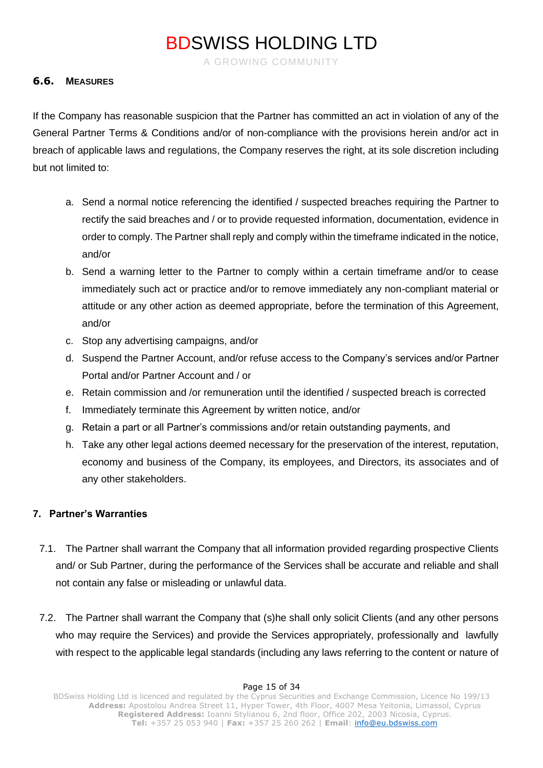A GROWING COMMUNITY

### **6.6. MEASURES**

If the Company has reasonable suspicion that the Partner has committed an act in violation of any of the General Partner Terms & Conditions and/or of non-compliance with the provisions herein and/or act in breach of applicable laws and regulations, the Company reserves the right, at its sole discretion including but not limited to:

- a. Send a normal notice referencing the identified / suspected breaches requiring the Partner to rectify the said breaches and / or to provide requested information, documentation, evidence in order to comply. The Partner shall reply and comply within the timeframe indicated in the notice, and/or
- b. Send a warning letter to the Partner to comply within a certain timeframe and/or to cease immediately such act or practice and/or to remove immediately any non-compliant material or attitude or any other action as deemed appropriate, before the termination of this Agreement, and/or
- c. Stop any advertising campaigns, and/or
- d. Suspend the Partner Account, and/or refuse access to the Company's services and/or Partner Portal and/or Partner Account and / or
- e. Retain commission and /or remuneration until the identified / suspected breach is corrected
- f. Immediately terminate this Agreement by written notice, and/or
- g. Retain a part or all Partner's commissions and/or retain outstanding payments, and
- h. Take any other legal actions deemed necessary for the preservation of the interest, reputation, economy and business of the Company, its employees, and Directors, its associates and of any other stakeholders.

### **7. Partner's Warranties**

- 7.1. The Partner shall warrant the Company that all information provided regarding prospective Clients and/ or Sub Partner, during the performance of the Services shall be accurate and reliable and shall not contain any false or misleading or unlawful data.
- 7.2. The Partner shall warrant the Company that (s)he shall only solicit Clients (and any other persons who may require the Services) and provide the Services appropriately, professionally and lawfully with respect to the applicable legal standards (including any laws referring to the content or nature of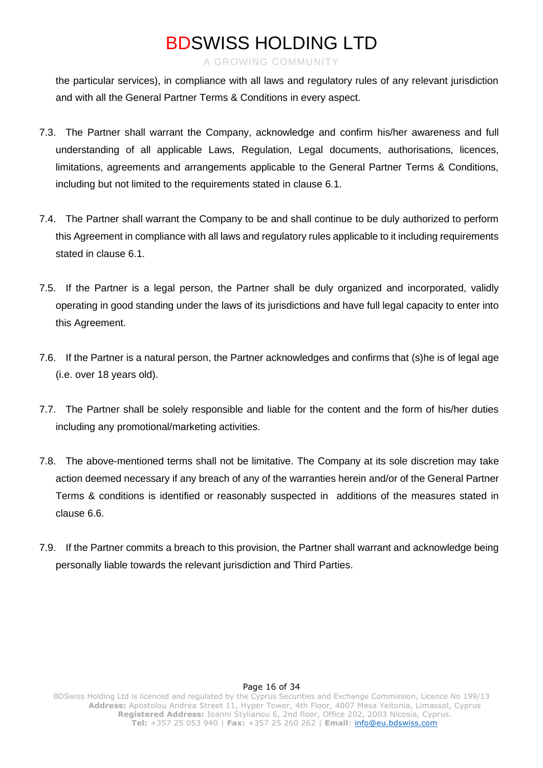#### A GROWING COMMUNITY

the particular services), in compliance with all laws and regulatory rules of any relevant jurisdiction and with all the General Partner Terms & Conditions in every aspect.

- 7.3. The Partner shall warrant the Company, acknowledge and confirm his/her awareness and full understanding of all applicable Laws, Regulation, Legal documents, authorisations, licences, limitations, agreements and arrangements applicable to the General Partner Terms & Conditions, including but not limited to the requirements stated in clause 6.1.
- 7.4. The Partner shall warrant the Company to be and shall continue to be duly authorized to perform this Agreement in compliance with all laws and regulatory rules applicable to it including requirements stated in clause 6.1.
- 7.5. If the Partner is a legal person, the Partner shall be duly organized and incorporated, validly operating in good standing under the laws of its jurisdictions and have full legal capacity to enter into this Agreement.
- 7.6. If the Partner is a natural person, the Partner acknowledges and confirms that (s)he is of legal age (i.e. over 18 years old).
- 7.7. The Partner shall be solely responsible and liable for the content and the form of his/her duties including any promotional/marketing activities.
- 7.8. The above-mentioned terms shall not be limitative. The Company at its sole discretion may take action deemed necessary if any breach of any of the warranties herein and/or of the General Partner Terms & conditions is identified or reasonably suspected in additions of the measures stated in clause 6.6.
- 7.9. If the Partner commits a breach to this provision, the Partner shall warrant and acknowledge being personally liable towards the relevant jurisdiction and Third Parties.

#### Page 16 of 34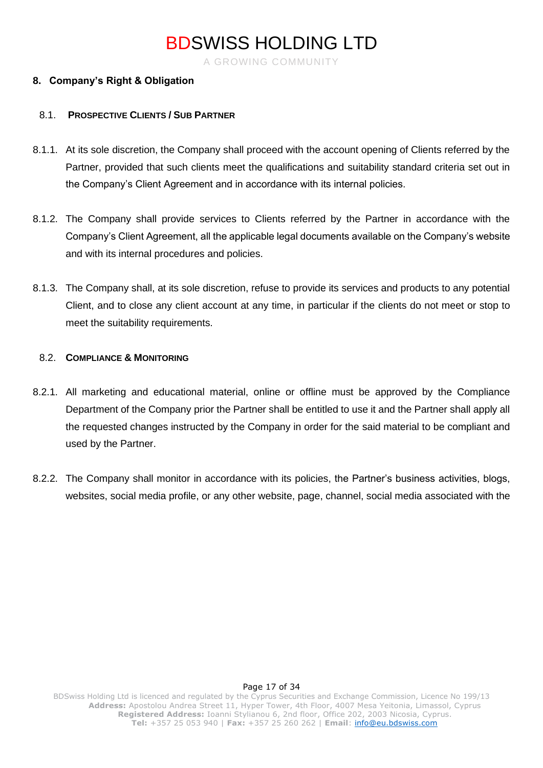A GROWING COMMUNITY

### **8. Company's Right & Obligation**

#### 8.1. **PROSPECTIVE CLIENTS / SUB PARTNER**

- 8.1.1. At its sole discretion, the Company shall proceed with the account opening of Clients referred by the Partner, provided that such clients meet the qualifications and suitability standard criteria set out in the Company's Client Agreement and in accordance with its internal policies.
- 8.1.2. The Company shall provide services to Clients referred by the Partner in accordance with the Company's Client Agreement, all the applicable legal documents available on the Company's website and with its internal procedures and policies.
- 8.1.3. The Company shall, at its sole discretion, refuse to provide its services and products to any potential Client, and to close any client account at any time, in particular if the clients do not meet or stop to meet the suitability requirements.

### 8.2. **COMPLIANCE & MONITORING**

- 8.2.1. All marketing and educational material, online or offline must be approved by the Compliance Department of the Company prior the Partner shall be entitled to use it and the Partner shall apply all the requested changes instructed by the Company in order for the said material to be compliant and used by the Partner.
- 8.2.2. The Company shall monitor in accordance with its policies, the Partner's business activities, blogs, websites, social media profile, or any other website, page, channel, social media associated with the

#### Page 17 of 34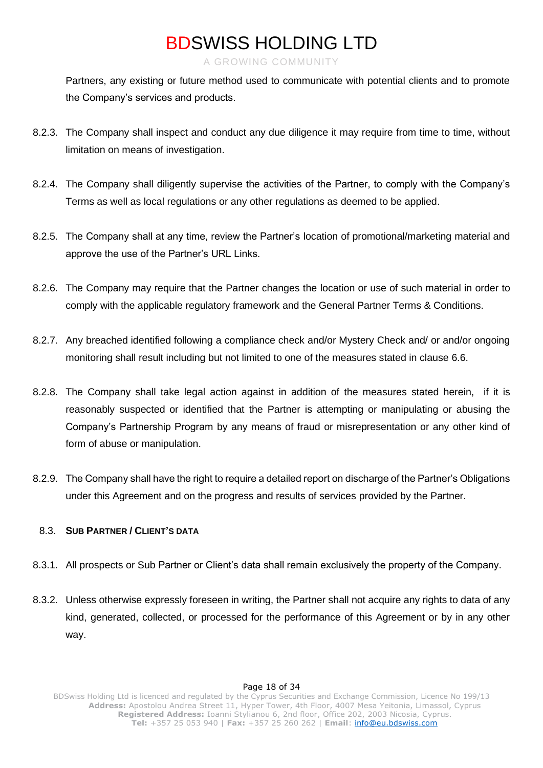#### A GROWING COMMUNITY

Partners, any existing or future method used to communicate with potential clients and to promote the Company's services and products.

- 8.2.3. The Company shall inspect and conduct any due diligence it may require from time to time, without limitation on means of investigation.
- 8.2.4. The Company shall diligently supervise the activities of the Partner, to comply with the Company's Terms as well as local regulations or any other regulations as deemed to be applied.
- 8.2.5. The Company shall at any time, review the Partner's location of promotional/marketing material and approve the use of the Partner's URL Links.
- 8.2.6. The Company may require that the Partner changes the location or use of such material in order to comply with the applicable regulatory framework and the General Partner Terms & Conditions.
- 8.2.7. Any breached identified following a compliance check and/or Mystery Check and/ or and/or ongoing monitoring shall result including but not limited to one of the measures stated in clause 6.6.
- 8.2.8. The Company shall take legal action against in addition of the measures stated herein, if it is reasonably suspected or identified that the Partner is attempting or manipulating or abusing the Company's Partnership Program by any means of fraud or misrepresentation or any other kind of form of abuse or manipulation.
- 8.2.9. The Company shall have the right to require a detailed report on discharge of the Partner's Obligations under this Agreement and on the progress and results of services provided by the Partner.

### 8.3. **SUB PARTNER / CLIENT'S DATA**

- 8.3.1. All prospects or Sub Partner or Client's data shall remain exclusively the property of the Company.
- 8.3.2. Unless otherwise expressly foreseen in writing, the Partner shall not acquire any rights to data of any kind, generated, collected, or processed for the performance of this Agreement or by in any other way.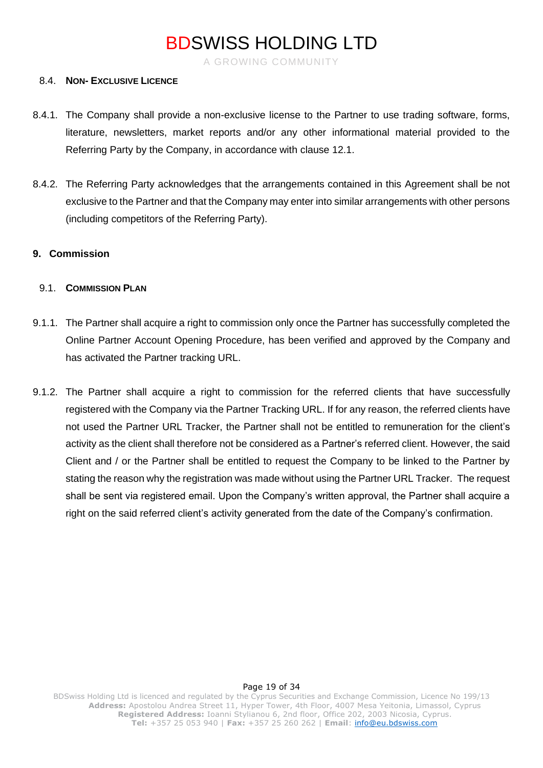A GROWING COMMUNITY

#### 8.4. **NON- EXCLUSIVE LICENCE**

- 8.4.1. The Company shall provide a non-exclusive license to the Partner to use trading software, forms, literature, newsletters, market reports and/or any other informational material provided to the Referring Party by the Company, in accordance with clause 12.1.
- 8.4.2. The Referring Party acknowledges that the arrangements contained in this Agreement shall be not exclusive to the Partner and that the Company may enter into similar arrangements with other persons (including competitors of the Referring Party).

#### **9. Commission**

#### 9.1. **COMMISSION PLAN**

- 9.1.1. The Partner shall acquire a right to commission only once the Partner has successfully completed the Online Partner Account Opening Procedure, has been verified and approved by the Company and has activated the Partner tracking URL.
- 9.1.2. The Partner shall acquire a right to commission for the referred clients that have successfully registered with the Company via the Partner Tracking URL. If for any reason, the referred clients have not used the Partner URL Tracker, the Partner shall not be entitled to remuneration for the client's activity as the client shall therefore not be considered as a Partner's referred client. However, the said Client and / or the Partner shall be entitled to request the Company to be linked to the Partner by stating the reason why the registration was made without using the Partner URL Tracker. The request shall be sent via registered email. Upon the Company's written approval, the Partner shall acquire a right on the said referred client's activity generated from the date of the Company's confirmation.

#### Page 19 of 34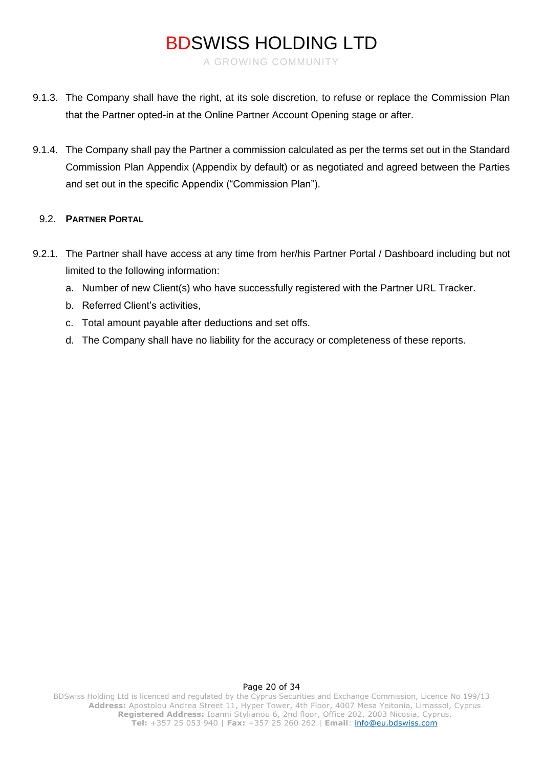A GROWING COMMUNITY

- 9.1.3. The Company shall have the right, at its sole discretion, to refuse or replace the Commission Plan that the Partner opted-in at the Online Partner Account Opening stage or after.
- 9.1.4. The Company shall pay the Partner a commission calculated as per the terms set out in the Standard Commission Plan Appendix (Appendix by default) or as negotiated and agreed between the Parties and set out in the specific Appendix ("Commission Plan").

### 9.2. **PARTNER PORTAL**

- 9.2.1. The Partner shall have access at any time from her/his Partner Portal / Dashboard including but not limited to the following information:
	- a. Number of new Client(s) who have successfully registered with the Partner URL Tracker.
	- b. Referred Client's activities,
	- c. Total amount payable after deductions and set offs.
	- d. The Company shall have no liability for the accuracy or completeness of these reports.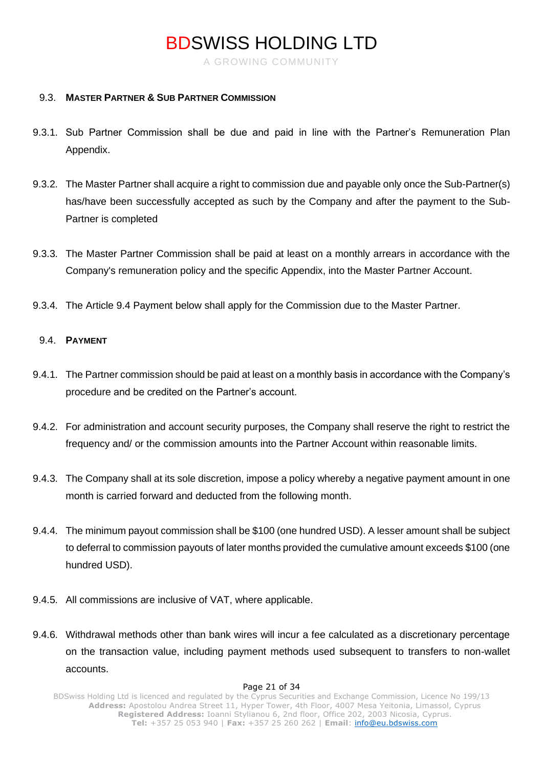A GROWING COMMUNITY

#### 9.3. **MASTER PARTNER & SUB PARTNER COMMISSION**

- 9.3.1. Sub Partner Commission shall be due and paid in line with the Partner's Remuneration Plan Appendix.
- 9.3.2. The Master Partner shall acquire a right to commission due and payable only once the Sub-Partner(s) has/have been successfully accepted as such by the Company and after the payment to the Sub-Partner is completed
- 9.3.3. The Master Partner Commission shall be paid at least on a monthly arrears in accordance with the Company's remuneration policy and the specific Appendix, into the Master Partner Account.
- 9.3.4. The Article 9.4 Payment below shall apply for the Commission due to the Master Partner.

#### 9.4. **PAYMENT**

- 9.4.1. The Partner commission should be paid at least on a monthly basis in accordance with the Company's procedure and be credited on the Partner's account.
- 9.4.2. For administration and account security purposes, the Company shall reserve the right to restrict the frequency and/ or the commission amounts into the Partner Account within reasonable limits.
- 9.4.3. The Company shall at its sole discretion, impose a policy whereby a negative payment amount in one month is carried forward and deducted from the following month.
- 9.4.4. The minimum payout commission shall be \$100 (one hundred USD). A lesser amount shall be subject to deferral to commission payouts of later months provided the cumulative amount exceeds \$100 (one hundred USD).
- 9.4.5. All commissions are inclusive of VAT, where applicable.
- 9.4.6. Withdrawal methods other than bank wires will incur a fee calculated as a discretionary percentage on the transaction value, including payment methods used subsequent to transfers to non-wallet accounts.

#### Page 21 of 34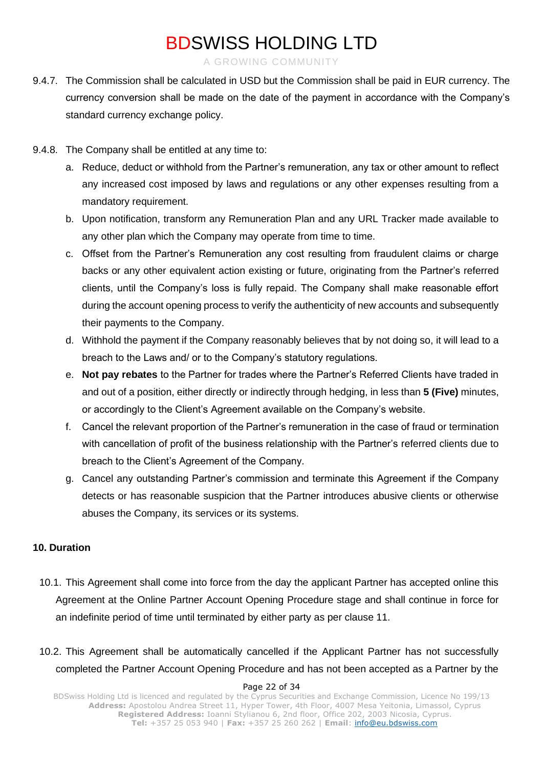A GROWING COMMUNITY

- 9.4.7. The Commission shall be calculated in USD but the Commission shall be paid in EUR currency. The currency conversion shall be made on the date of the payment in accordance with the Company's standard currency exchange policy.
- 9.4.8. The Company shall be entitled at any time to:
	- a. Reduce, deduct or withhold from the Partner's remuneration, any tax or other amount to reflect any increased cost imposed by laws and regulations or any other expenses resulting from a mandatory requirement.
	- b. Upon notification, transform any Remuneration Plan and any URL Tracker made available to any other plan which the Company may operate from time to time.
	- c. Offset from the Partner's Remuneration any cost resulting from fraudulent claims or charge backs or any other equivalent action existing or future, originating from the Partner's referred clients, until the Company's loss is fully repaid. The Company shall make reasonable effort during the account opening process to verify the authenticity of new accounts and subsequently their payments to the Company.
	- d. Withhold the payment if the Company reasonably believes that by not doing so, it will lead to a breach to the Laws and/ or to the Company's statutory regulations.
	- e. **Not pay rebates** to the Partner for trades where the Partner's Referred Clients have traded in and out of a position, either directly or indirectly through hedging, in less than **5 (Five)** minutes, or accordingly to the Client's Agreement available on the Company's website.
	- f. Cancel the relevant proportion of the Partner's remuneration in the case of fraud or termination with cancellation of profit of the business relationship with the Partner's referred clients due to breach to the Client's Agreement of the Company.
	- g. Cancel any outstanding Partner's commission and terminate this Agreement if the Company detects or has reasonable suspicion that the Partner introduces abusive clients or otherwise abuses the Company, its services or its systems.

### **10. Duration**

- 10.1. This Agreement shall come into force from the day the applicant Partner has accepted online this Agreement at the Online Partner Account Opening Procedure stage and shall continue in force for an indefinite period of time until terminated by either party as per clause 11.
- 10.2. This Agreement shall be automatically cancelled if the Applicant Partner has not successfully completed the Partner Account Opening Procedure and has not been accepted as a Partner by the

#### Page 22 of 34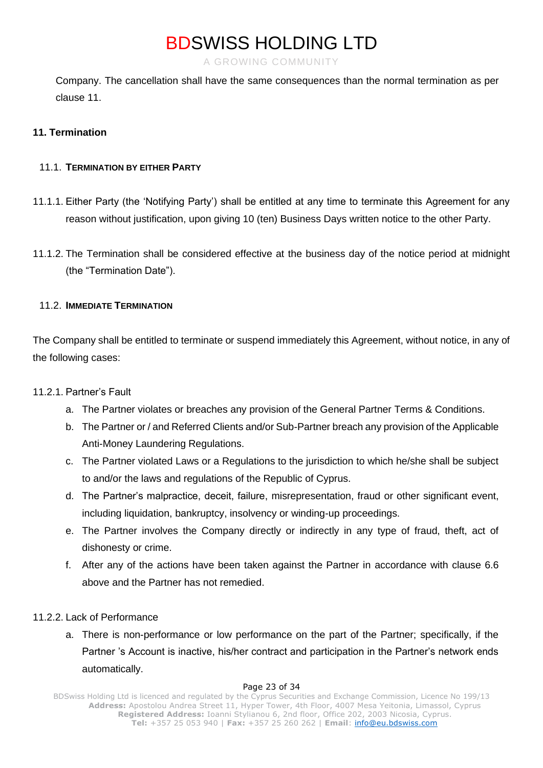A GROWING COMMUNITY

Company. The cancellation shall have the same consequences than the normal termination as per clause 11.

### **11. Termination**

### 11.1. **TERMINATION BY EITHER PARTY**

- 11.1.1. Either Party (the 'Notifying Party') shall be entitled at any time to terminate this Agreement for any reason without justification, upon giving 10 (ten) Business Days written notice to the other Party.
- 11.1.2. The Termination shall be considered effective at the business day of the notice period at midnight (the "Termination Date").

### 11.2. **IMMEDIATE TERMINATION**

The Company shall be entitled to terminate or suspend immediately this Agreement, without notice, in any of the following cases:

### 11.2.1. Partner's Fault

- a. The Partner violates or breaches any provision of the General Partner Terms & Conditions.
- b. The Partner or / and Referred Clients and/or Sub-Partner breach any provision of the Applicable Anti-Money Laundering Regulations.
- c. The Partner violated Laws or a Regulations to the jurisdiction to which he/she shall be subject to and/or the laws and regulations of the Republic of Cyprus.
- d. The Partner's malpractice, deceit, failure, misrepresentation, fraud or other significant event, including liquidation, bankruptcy, insolvency or winding-up proceedings.
- e. The Partner involves the Company directly or indirectly in any type of fraud, theft, act of dishonesty or crime.
- f. After any of the actions have been taken against the Partner in accordance with clause 6.6 above and the Partner has not remedied.

### 11.2.2. Lack of Performance

a. There is non-performance or low performance on the part of the Partner; specifically, if the Partner 's Account is inactive, his/her contract and participation in the Partner's network ends automatically.

#### Page 23 of 34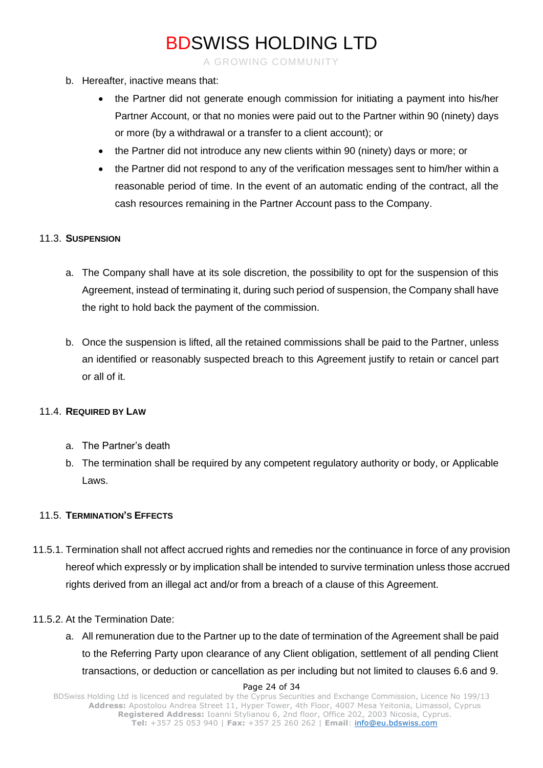A GROWING COMMUNITY

- b. Hereafter, inactive means that:
	- the Partner did not generate enough commission for initiating a payment into his/her Partner Account, or that no monies were paid out to the Partner within 90 (ninety) days or more (by a withdrawal or a transfer to a client account); or
	- the Partner did not introduce any new clients within 90 (ninety) days or more; or
	- the Partner did not respond to any of the verification messages sent to him/her within a reasonable period of time. In the event of an automatic ending of the contract, all the cash resources remaining in the Partner Account pass to the Company.

#### 11.3. **SUSPENSION**

- a. The Company shall have at its sole discretion, the possibility to opt for the suspension of this Agreement, instead of terminating it, during such period of suspension, the Company shall have the right to hold back the payment of the commission.
- b. Once the suspension is lifted, all the retained commissions shall be paid to the Partner, unless an identified or reasonably suspected breach to this Agreement justify to retain or cancel part or all of it.

### 11.4. **REQUIRED BY LAW**

- a. The Partner's death
- b. The termination shall be required by any competent regulatory authority or body, or Applicable Laws.

### 11.5. **TERMINATION'S EFFECTS**

11.5.1. Termination shall not affect accrued rights and remedies nor the continuance in force of any provision hereof which expressly or by implication shall be intended to survive termination unless those accrued rights derived from an illegal act and/or from a breach of a clause of this Agreement.

#### 11.5.2. At the Termination Date:

a. All remuneration due to the Partner up to the date of termination of the Agreement shall be paid to the Referring Party upon clearance of any Client obligation, settlement of all pending Client transactions, or deduction or cancellation as per including but not limited to clauses 6.6 and 9.

#### Page 24 of 34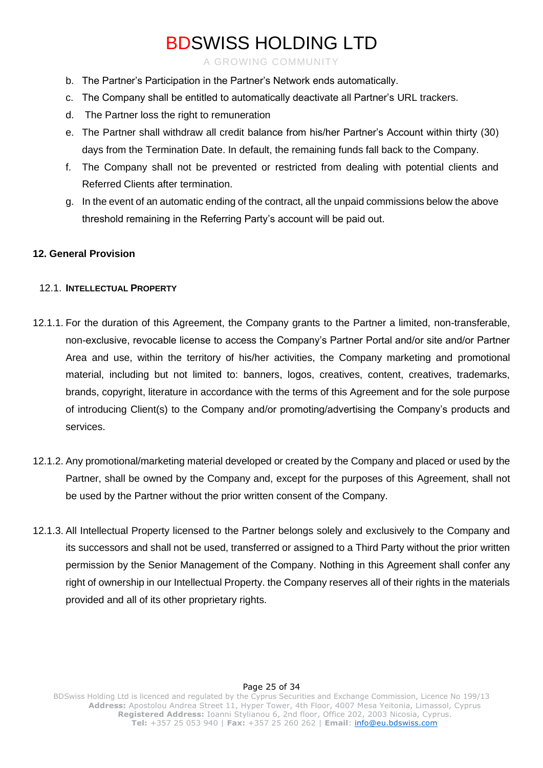A GROWING COMMUNITY

- b. The Partner's Participation in the Partner's Network ends automatically.
- c. The Company shall be entitled to automatically deactivate all Partner's URL trackers.
- d. The Partner loss the right to remuneration
- e. The Partner shall withdraw all credit balance from his/her Partner's Account within thirty (30) days from the Termination Date. In default, the remaining funds fall back to the Company.
- f. The Company shall not be prevented or restricted from dealing with potential clients and Referred Clients after termination.
- g. In the event of an automatic ending of the contract, all the unpaid commissions below the above threshold remaining in the Referring Party's account will be paid out.

### **12. General Provision**

#### 12.1. **INTELLECTUAL PROPERTY**

- 12.1.1. For the duration of this Agreement, the Company grants to the Partner a limited, non-transferable, non-exclusive, revocable license to access the Company's Partner Portal and/or site and/or Partner Area and use, within the territory of his/her activities, the Company marketing and promotional material, including but not limited to: banners, logos, creatives, content, creatives, trademarks, brands, copyright, literature in accordance with the terms of this Agreement and for the sole purpose of introducing Client(s) to the Company and/or promoting/advertising the Company's products and services.
- 12.1.2. Any promotional/marketing material developed or created by the Company and placed or used by the Partner, shall be owned by the Company and, except for the purposes of this Agreement, shall not be used by the Partner without the prior written consent of the Company.
- 12.1.3. All Intellectual Property licensed to the Partner belongs solely and exclusively to the Company and its successors and shall not be used, transferred or assigned to a Third Party without the prior written permission by the Senior Management of the Company. Nothing in this Agreement shall confer any right of ownership in our Intellectual Property. the Company reserves all of their rights in the materials provided and all of its other proprietary rights.

### Page 25 of 34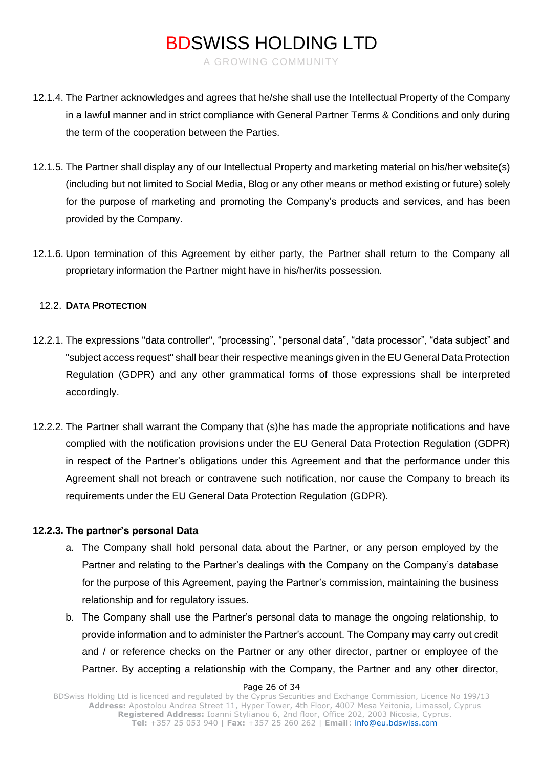A GROWING COMMUNITY

- 12.1.4. The Partner acknowledges and agrees that he/she shall use the Intellectual Property of the Company in a lawful manner and in strict compliance with General Partner Terms & Conditions and only during the term of the cooperation between the Parties.
- 12.1.5. The Partner shall display any of our Intellectual Property and marketing material on his/her website(s) (including but not limited to Social Media, Blog or any other means or method existing or future) solely for the purpose of marketing and promoting the Company's products and services, and has been provided by the Company.
- 12.1.6. Upon termination of this Agreement by either party, the Partner shall return to the Company all proprietary information the Partner might have in his/her/its possession.

### 12.2. **DATA PROTECTION**

- 12.2.1. The expressions "data controller", "processing", "personal data", "data processor", "data subject" and "subject access request" shall bear their respective meanings given in the EU General Data Protection Regulation (GDPR) and any other grammatical forms of those expressions shall be interpreted accordingly.
- 12.2.2. The Partner shall warrant the Company that (s)he has made the appropriate notifications and have complied with the notification provisions under the EU General Data Protection Regulation (GDPR) in respect of the Partner's obligations under this Agreement and that the performance under this Agreement shall not breach or contravene such notification, nor cause the Company to breach its requirements under the EU General Data Protection Regulation (GDPR).

#### **12.2.3. The partner's personal Data**

- a. The Company shall hold personal data about the Partner, or any person employed by the Partner and relating to the Partner's dealings with the Company on the Company's database for the purpose of this Agreement, paying the Partner's commission, maintaining the business relationship and for regulatory issues.
- b. The Company shall use the Partner's personal data to manage the ongoing relationship, to provide information and to administer the Partner's account. The Company may carry out credit and / or reference checks on the Partner or any other director, partner or employee of the Partner. By accepting a relationship with the Company, the Partner and any other director,

#### Page 26 of 34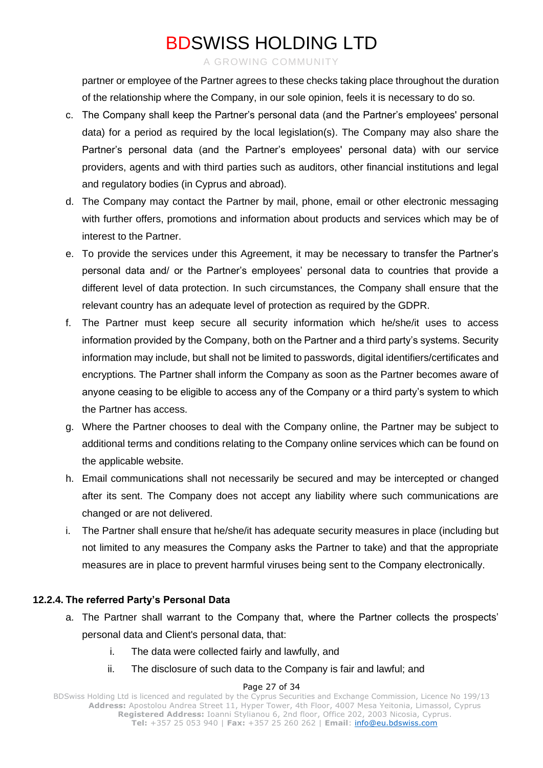#### A GROWING COMMUNITY

partner or employee of the Partner agrees to these checks taking place throughout the duration of the relationship where the Company, in our sole opinion, feels it is necessary to do so.

- c. The Company shall keep the Partner's personal data (and the Partner's employees' personal data) for a period as required by the local legislation(s). The Company may also share the Partner's personal data (and the Partner's employees' personal data) with our service providers, agents and with third parties such as auditors, other financial institutions and legal and regulatory bodies (in Cyprus and abroad).
- d. The Company may contact the Partner by mail, phone, email or other electronic messaging with further offers, promotions and information about products and services which may be of interest to the Partner.
- e. To provide the services under this Agreement, it may be necessary to transfer the Partner's personal data and/ or the Partner's employees' personal data to countries that provide a different level of data protection. In such circumstances, the Company shall ensure that the relevant country has an adequate level of protection as required by the GDPR.
- f. The Partner must keep secure all security information which he/she/it uses to access information provided by the Company, both on the Partner and a third party's systems. Security information may include, but shall not be limited to passwords, digital identifiers/certificates and encryptions. The Partner shall inform the Company as soon as the Partner becomes aware of anyone ceasing to be eligible to access any of the Company or a third party's system to which the Partner has access.
- g. Where the Partner chooses to deal with the Company online, the Partner may be subject to additional terms and conditions relating to the Company online services which can be found on the applicable website.
- h. Email communications shall not necessarily be secured and may be intercepted or changed after its sent. The Company does not accept any liability where such communications are changed or are not delivered.
- i. The Partner shall ensure that he/she/it has adequate security measures in place (including but not limited to any measures the Company asks the Partner to take) and that the appropriate measures are in place to prevent harmful viruses being sent to the Company electronically.

### **12.2.4. The referred Party's Personal Data**

- a. The Partner shall warrant to the Company that, where the Partner collects the prospects' personal data and Client's personal data, that:
	- i. The data were collected fairly and lawfully, and
	- ii. The disclosure of such data to the Company is fair and lawful; and

#### Page 27 of 34

BDSwiss Holding Ltd is licenced and regulated by the Cyprus Securities and Exchange Commission, Licence No 199/13 **Address:** Apostolou Andrea Street 11, Hyper Tower, 4th Floor, 4007 Mesa Yeitonia, Limassol, Cyprus **Registered Address:** Ioanni Stylianou 6, 2nd floor, Office 202, 2003 Nicosia, Cyprus. **Tel:** +357 25 053 940 | **Fax:** +357 25 260 262 | **Email**: [info@eu.bdswiss.com](mailto:info@eu.bdswiss.com)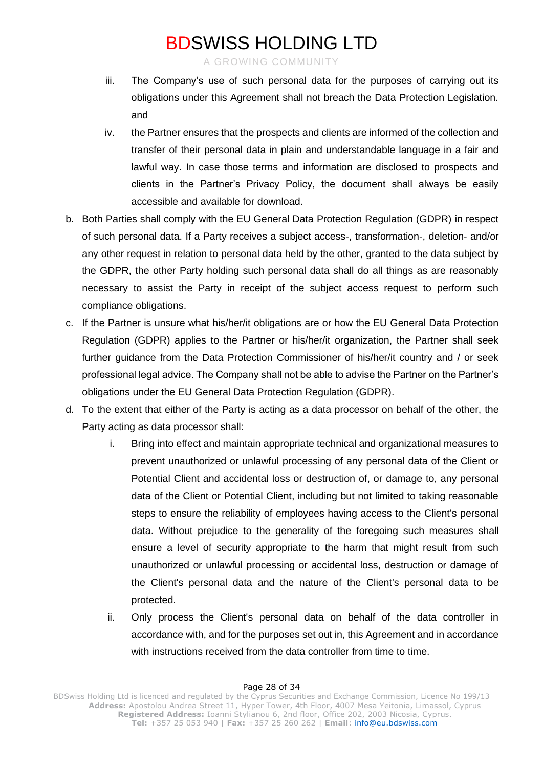A GROWING COMMUNITY

- iii. The Company's use of such personal data for the purposes of carrying out its obligations under this Agreement shall not breach the Data Protection Legislation. and
- iv. the Partner ensures that the prospects and clients are informed of the collection and transfer of their personal data in plain and understandable language in a fair and lawful way. In case those terms and information are disclosed to prospects and clients in the Partner's Privacy Policy, the document shall always be easily accessible and available for download.
- b. Both Parties shall comply with the EU General Data Protection Regulation (GDPR) in respect of such personal data. If a Party receives a subject access-, transformation-, deletion- and/or any other request in relation to personal data held by the other, granted to the data subject by the GDPR, the other Party holding such personal data shall do all things as are reasonably necessary to assist the Party in receipt of the subject access request to perform such compliance obligations.
- c. If the Partner is unsure what his/her/it obligations are or how the EU General Data Protection Regulation (GDPR) applies to the Partner or his/her/it organization, the Partner shall seek further guidance from the Data Protection Commissioner of his/her/it country and / or seek professional legal advice. The Company shall not be able to advise the Partner on the Partner's obligations under the EU General Data Protection Regulation (GDPR).
- d. To the extent that either of the Party is acting as a data processor on behalf of the other, the Party acting as data processor shall:
	- i. Bring into effect and maintain appropriate technical and organizational measures to prevent unauthorized or unlawful processing of any personal data of the Client or Potential Client and accidental loss or destruction of, or damage to, any personal data of the Client or Potential Client, including but not limited to taking reasonable steps to ensure the reliability of employees having access to the Client's personal data. Without prejudice to the generality of the foregoing such measures shall ensure a level of security appropriate to the harm that might result from such unauthorized or unlawful processing or accidental loss, destruction or damage of the Client's personal data and the nature of the Client's personal data to be protected.
	- ii. Only process the Client's personal data on behalf of the data controller in accordance with, and for the purposes set out in, this Agreement and in accordance with instructions received from the data controller from time to time.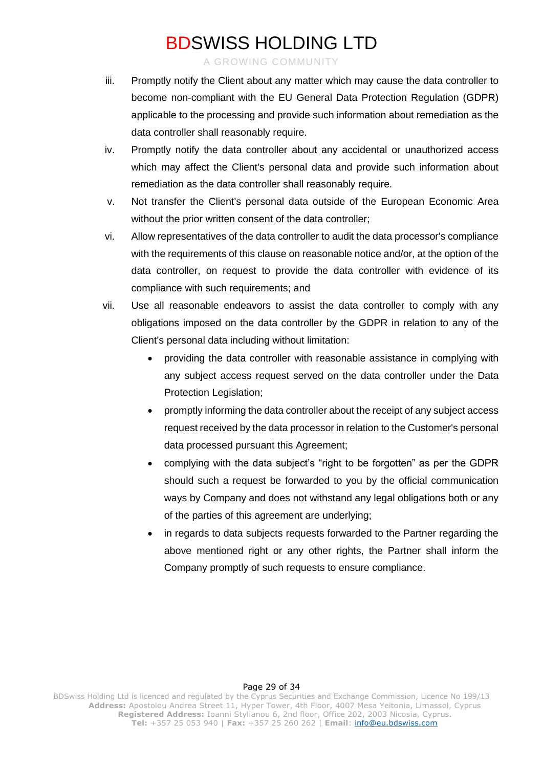A GROWING COMMUNITY

- iii. Promptly notify the Client about any matter which may cause the data controller to become non-compliant with the EU General Data Protection Regulation (GDPR) applicable to the processing and provide such information about remediation as the data controller shall reasonably require.
- iv. Promptly notify the data controller about any accidental or unauthorized access which may affect the Client's personal data and provide such information about remediation as the data controller shall reasonably require.
- v. Not transfer the Client's personal data outside of the European Economic Area without the prior written consent of the data controller;
- vi. Allow representatives of the data controller to audit the data processor's compliance with the requirements of this clause on reasonable notice and/or, at the option of the data controller, on request to provide the data controller with evidence of its compliance with such requirements; and
- vii. Use all reasonable endeavors to assist the data controller to comply with any obligations imposed on the data controller by the GDPR in relation to any of the Client's personal data including without limitation:
	- providing the data controller with reasonable assistance in complying with any subject access request served on the data controller under the Data Protection Legislation;
	- promptly informing the data controller about the receipt of any subject access request received by the data processor in relation to the Customer's personal data processed pursuant this Agreement;
	- complying with the data subject's "right to be forgotten" as per the GDPR should such a request be forwarded to you by the official communication ways by Company and does not withstand any legal obligations both or any of the parties of this agreement are underlying;
	- in regards to data subjects requests forwarded to the Partner regarding the above mentioned right or any other rights, the Partner shall inform the Company promptly of such requests to ensure compliance.

#### Page 29 of 34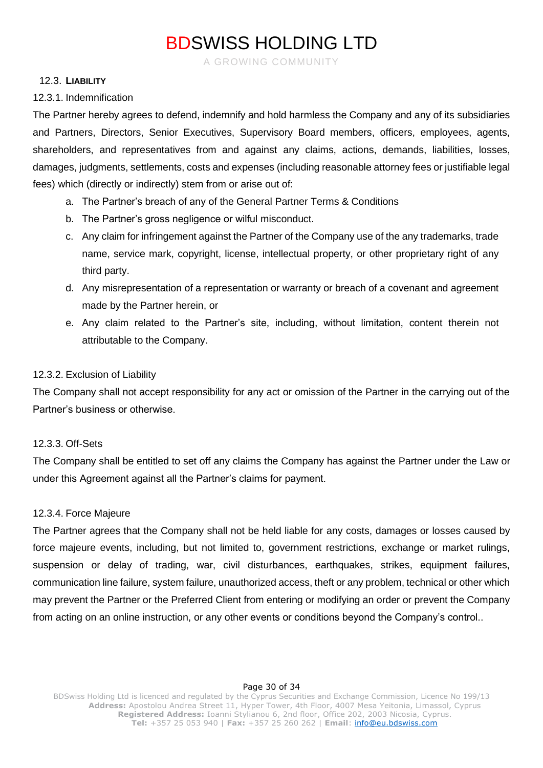A GROWING COMMUNITY

#### 12.3. **LIABILITY**

#### 12.3.1. Indemnification

The Partner hereby agrees to defend, indemnify and hold harmless the Company and any of its subsidiaries and Partners, Directors, Senior Executives, Supervisory Board members, officers, employees, agents, shareholders, and representatives from and against any claims, actions, demands, liabilities, losses, damages, judgments, settlements, costs and expenses (including reasonable attorney fees or justifiable legal fees) which (directly or indirectly) stem from or arise out of:

- a. The Partner's breach of any of the General Partner Terms & Conditions
- b. The Partner's gross negligence or wilful misconduct.
- c. Any claim for infringement against the Partner of the Company use of the any trademarks, trade name, service mark, copyright, license, intellectual property, or other proprietary right of any third party.
- d. Any misrepresentation of a representation or warranty or breach of a covenant and agreement made by the Partner herein, or
- e. Any claim related to the Partner's site, including, without limitation, content therein not attributable to the Company.

#### 12.3.2. Exclusion of Liability

The Company shall not accept responsibility for any act or omission of the Partner in the carrying out of the Partner's business or otherwise.

#### 12.3.3. Off-Sets

The Company shall be entitled to set off any claims the Company has against the Partner under the Law or under this Agreement against all the Partner's claims for payment.

#### 12.3.4. Force Majeure

The Partner agrees that the Company shall not be held liable for any costs, damages or losses caused by force majeure events, including, but not limited to, government restrictions, exchange or market rulings, suspension or delay of trading, war, civil disturbances, earthquakes, strikes, equipment failures, communication line failure, system failure, unauthorized access, theft or any problem, technical or other which may prevent the Partner or the Preferred Client from entering or modifying an order or prevent the Company from acting on an online instruction, or any other events or conditions beyond the Company's control..

#### Page 30 of 34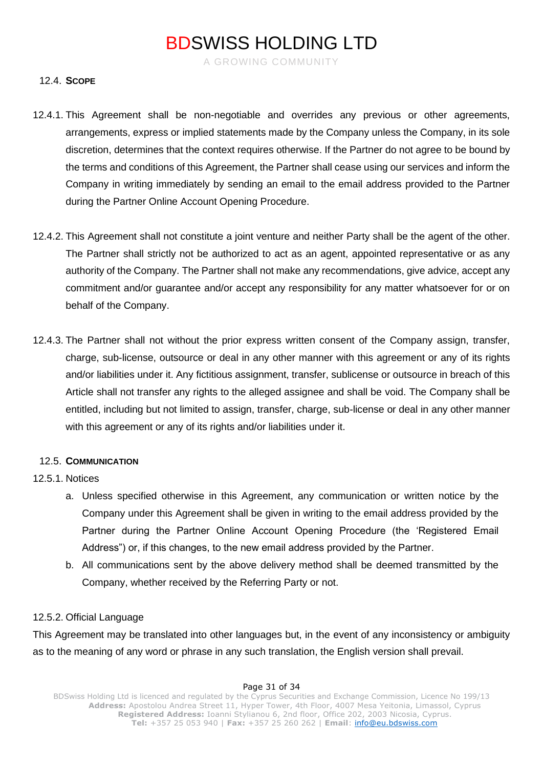A GROWING COMMUNITY

#### 12.4. **SCOPE**

- 12.4.1. This Agreement shall be non-negotiable and overrides any previous or other agreements, arrangements, express or implied statements made by the Company unless the Company, in its sole discretion, determines that the context requires otherwise. If the Partner do not agree to be bound by the terms and conditions of this Agreement, the Partner shall cease using our services and inform the Company in writing immediately by sending an email to the email address provided to the Partner during the Partner Online Account Opening Procedure.
- 12.4.2. This Agreement shall not constitute a joint venture and neither Party shall be the agent of the other. The Partner shall strictly not be authorized to act as an agent, appointed representative or as any authority of the Company. The Partner shall not make any recommendations, give advice, accept any commitment and/or guarantee and/or accept any responsibility for any matter whatsoever for or on behalf of the Company.
- 12.4.3. The Partner shall not without the prior express written consent of the Company assign, transfer, charge, sub-license, outsource or deal in any other manner with this agreement or any of its rights and/or liabilities under it. Any fictitious assignment, transfer, sublicense or outsource in breach of this Article shall not transfer any rights to the alleged assignee and shall be void. The Company shall be entitled, including but not limited to assign, transfer, charge, sub-license or deal in any other manner with this agreement or any of its rights and/or liabilities under it.

#### 12.5. **COMMUNICATION**

#### 12.5.1. Notices

- a. Unless specified otherwise in this Agreement, any communication or written notice by the Company under this Agreement shall be given in writing to the email address provided by the Partner during the Partner Online Account Opening Procedure (the 'Registered Email Address") or, if this changes, to the new email address provided by the Partner.
- b. All communications sent by the above delivery method shall be deemed transmitted by the Company, whether received by the Referring Party or not.

#### 12.5.2. Official Language

This Agreement may be translated into other languages but, in the event of any inconsistency or ambiguity as to the meaning of any word or phrase in any such translation, the English version shall prevail.

#### Page 31 of 34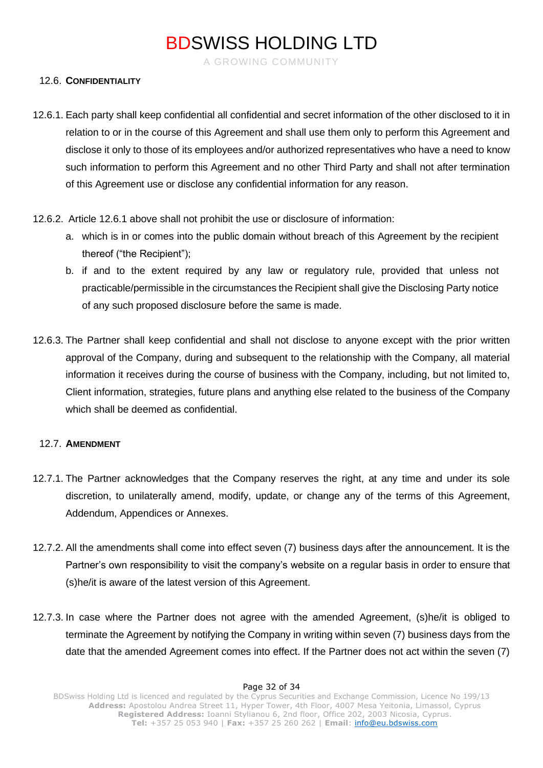A GROWING COMMUNITY

### 12.6. **CONFIDENTIALITY**

- 12.6.1. Each party shall keep confidential all confidential and secret information of the other disclosed to it in relation to or in the course of this Agreement and shall use them only to perform this Agreement and disclose it only to those of its employees and/or authorized representatives who have a need to know such information to perform this Agreement and no other Third Party and shall not after termination of this Agreement use or disclose any confidential information for any reason.
- 12.6.2. Article 12.6.1 above shall not prohibit the use or disclosure of information:
	- a. which is in or comes into the public domain without breach of this Agreement by the recipient thereof ("the Recipient");
	- b. if and to the extent required by any law or regulatory rule, provided that unless not practicable/permissible in the circumstances the Recipient shall give the Disclosing Party notice of any such proposed disclosure before the same is made.
- 12.6.3. The Partner shall keep confidential and shall not disclose to anyone except with the prior written approval of the Company, during and subsequent to the relationship with the Company, all material information it receives during the course of business with the Company, including, but not limited to, Client information, strategies, future plans and anything else related to the business of the Company which shall be deemed as confidential.

#### 12.7. **AMENDMENT**

- 12.7.1. The Partner acknowledges that the Company reserves the right, at any time and under its sole discretion, to unilaterally amend, modify, update, or change any of the terms of this Agreement, Addendum, Appendices or Annexes.
- 12.7.2. All the amendments shall come into effect seven (7) business days after the announcement. It is the Partner's own responsibility to visit the company's website on a regular basis in order to ensure that (s)he/it is aware of the latest version of this Agreement.
- 12.7.3. In case where the Partner does not agree with the amended Agreement, (s)he/it is obliged to terminate the Agreement by notifying the Company in writing within seven (7) business days from the date that the amended Agreement comes into effect. If the Partner does not act within the seven (7)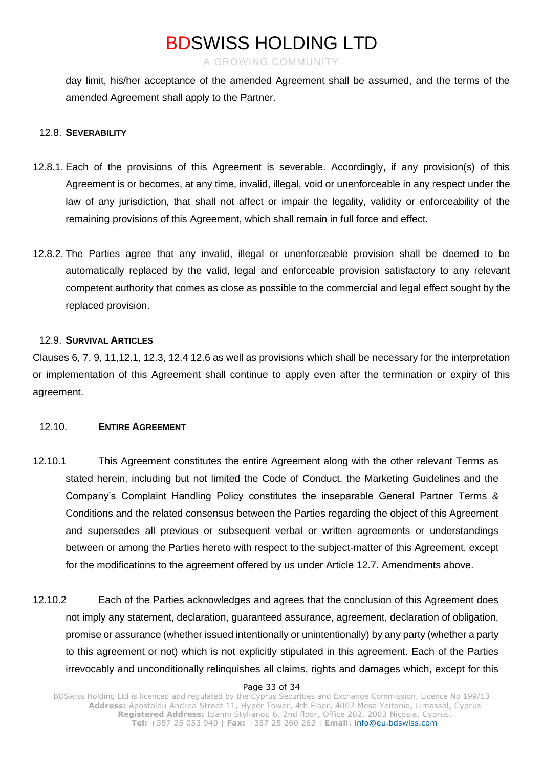A GROWING COMMUNITY

day limit, his/her acceptance of the amended Agreement shall be assumed, and the terms of the amended Agreement shall apply to the Partner.

#### 12.8. **SEVERABILITY**

- 12.8.1. Each of the provisions of this Agreement is severable. Accordingly, if any provision(s) of this Agreement is or becomes, at any time, invalid, illegal, void or unenforceable in any respect under the law of any jurisdiction, that shall not affect or impair the legality, validity or enforceability of the remaining provisions of this Agreement, which shall remain in full force and effect.
- 12.8.2. The Parties agree that any invalid, illegal or unenforceable provision shall be deemed to be automatically replaced by the valid, legal and enforceable provision satisfactory to any relevant competent authority that comes as close as possible to the commercial and legal effect sought by the replaced provision.

#### 12.9. **SURVIVAL ARTICLES**

Clauses 6, 7, 9, 11,12.1, 12.3, 12.4 12.6 as well as provisions which shall be necessary for the interpretation or implementation of this Agreement shall continue to apply even after the termination or expiry of this agreement.

#### 12.10. **ENTIRE AGREEMENT**

- 12.10.1 This Agreement constitutes the entire Agreement along with the other relevant Terms as stated herein, including but not limited the Code of Conduct, the Marketing Guidelines and the Company's Complaint Handling Policy constitutes the inseparable General Partner Terms & Conditions and the related consensus between the Parties regarding the object of this Agreement and supersedes all previous or subsequent verbal or written agreements or understandings between or among the Parties hereto with respect to the subject-matter of this Agreement, except for the modifications to the agreement offered by us under Article 12.7. Amendments above.
- 12.10.2 Each of the Parties acknowledges and agrees that the conclusion of this Agreement does not imply any statement, declaration, guaranteed assurance, agreement, declaration of obligation, promise or assurance (whether issued intentionally or unintentionally) by any party (whether a party to this agreement or not) which is not explicitly stipulated in this agreement. Each of the Parties irrevocably and unconditionally relinquishes all claims, rights and damages which, except for this

#### Page 33 of 34